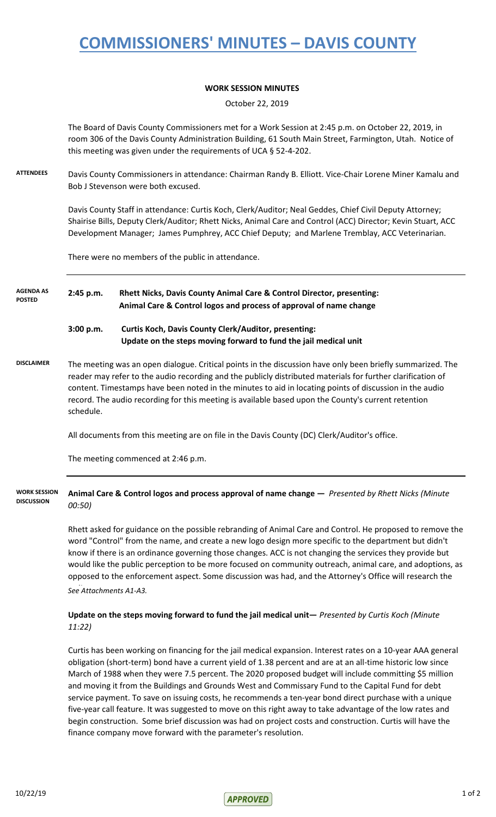# **COMMISSIONERS' MINUTES – DAVIS COUNTY**

### **WORK SESSION MINUTES**

October 22, 2019

The Board of Davis County Commissioners met for a Work Session at 2:45 p.m. on October 22, 2019, in room 306 of the Davis County Administration Building, 61 South Main Street, Farmington, Utah. Notice of this meeting was given under the requirements of UCA § 52-4-202.

**ATTENDEES** Davis County Commissioners in attendance: Chairman Randy B. Elliott. Vice-Chair Lorene Miner Kamalu and Bob J Stevenson were both excused.

> Davis County Staff in attendance: Curtis Koch, Clerk/Auditor; Neal Geddes, Chief Civil Deputy Attorney; Shairise Bills, Deputy Clerk/Auditor; Rhett Nicks, Animal Care and Control (ACC) Director; Kevin Stuart, ACC Development Manager; James Pumphrey, ACC Chief Deputy; and Marlene Tremblay, ACC Veterinarian.

There were no members of the public in attendance.

#### **2:45 p.m. Rhett Nicks, Davis County Animal Care & Control Director, presenting: Animal Care & Control logos and process of approval of name change AGENDA AS POSTED**

## **3:00 p.m. Curtis Koch, Davis County Clerk/Auditor, presenting: Update on the steps moving forward to fund the jail medical unit**

**DISCLAIMER** The meeting was an open dialogue. Critical points in the discussion have only been briefly summarized. The reader may refer to the audio recording and the publicly distributed materials for further clarification of content. Timestamps have been noted in the minutes to aid in locating points of discussion in the audio record. The audio recording for this meeting is available based upon the County's current retention schedule.

All documents from this meeting are on file in the Davis County (DC) Clerk/Auditor's office.

The meeting commenced at 2:46 p.m.

#### **Animal Care & Control logos and process approval of name change —** *Presented by Rhett Nicks (Minute 00:50)* **WORK SESSION DISCUSSION**

Rhett asked for guidance on the possible rebranding of Animal Care and Control. He proposed to remove the word "Control" from the name, and create a new logo design more specific to the department but didn't know if there is an ordinance governing those changes. ACC is not changing the services they provide but would like the public perception to be more focused on community outreach, animal care, and adoptions, as opposed to the enforcement aspect. Some discussion was had, and the Attorney's Office will research the See Attachments A1-A3.

### **Update on the steps moving forward to fund the jail medical unit—** *Presented by Curtis Koch (Minute 11:22)*

Curtis has been working on financing for the jail medical expansion. Interest rates on a 10-year AAA general obligation (short-term) bond have a current yield of 1.38 percent and are at an all-time historic low since March of 1988 when they were 7.5 percent. The 2020 proposed budget will include committing \$5 million and moving it from the Buildings and Grounds West and Commissary Fund to the Capital Fund for debt service payment. To save on issuing costs, he recommends a ten-year bond direct purchase with a unique five-year call feature. It was suggested to move on this right away to take advantage of the low rates and begin construction. Some brief discussion was had on project costs and construction. Curtis will have the finance company move forward with the parameter's resolution.